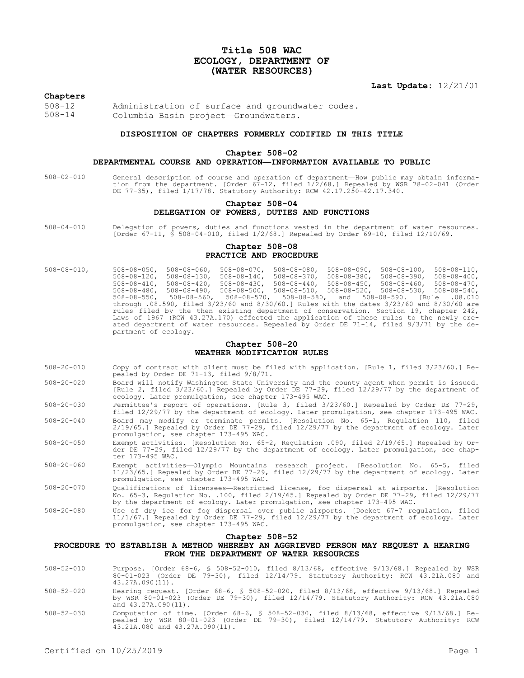# **Title 508 WAC ECOLOGY, DEPARTMENT OF (WATER RESOURCES)**

**Last Update:** 12/21/01

### **Chapters**

508-12 Administration of surface and groundwater codes.<br>508-14 Columbia Basin project—Groundwaters Columbia Basin project—Groundwaters.

### **DISPOSITION OF CHAPTERS FORMERLY CODIFIED IN THIS TITLE**

#### **Chapter 508-02**

#### **DEPARTMENTAL COURSE AND OPERATION—INFORMATION AVAILABLE TO PUBLIC**

508-02-010 General description of course and operation of department—How public may obtain information from the department. [Order 67-12, filed 1/2/68.] Repealed by WSR 78-02-041 (Order DE 77-35), filed 1/17/78. Statutory Authority: RCW 42.17.250-42.17.340.

### **Chapter 508-04 DELEGATION OF POWERS, DUTIES AND FUNCTIONS**

508-04-010 Delegation of powers, duties and functions vested in the department of water resources. [Order 67-11, § 508-04-010, filed 1/2/68.] Repealed by Order 69-10, filed 12/10/69.

### **Chapter 508-08 PRACTICE AND PROCEDURE**

508-08-010, 508-08-050, 508-08-060, 508-08-070, 508-08-080, 508-08-090, 508-08-100, 508-08-110, 508-08-120, 508-08-130, 508-08-140, 508-08-370, 508-08-380, 508-08-390, 508-08-400, 508-08-410, 508-08-420, 508-08-430, 508-08-440, 508-08-450, 508-08-460, 508-08-470, 508-08-480, 508-08-490, 508-08-500, 508-08-510, 508-08-520, 508-08-530, 508-08-540, 508-08-550, 508-08-560, 508-08-570, 508-08-580, and 508-08-590. [Rule .08.010 through .08.590, filed 3/23/60 and 8/30/60.] Rules with the dates 3/23/60 and 8/30/60 are rules filed by the then existing department of conservation. Section 19, chapter 242, Laws of 1967 (RCW 43.27A.170) effected the application of these rules to the newly created department of water resources. Repealed by Order DE 71-14, filed 9/3/71 by the department of ecology.

### **Chapter 508-20 WEATHER MODIFICATION RULES**

- 508-20-010 Copy of contract with client must be filed with application. [Rule 1, filed 3/23/60.] Repealed by Order DE 71-13, filed 9/8/71.
- 508-20-020 Board will notify Washington State University and the county agent when permit is issued. [Rule 2, filed 3/23/60.] Repealed by Order DE 77-29, filed 12/29/77 by the department of ecology. Later promulgation, see chapter 173-495 WAC.

508-20-030 Permittee's report of operations. [Rule 3, filed 3/23/60.] Repealed by Order DE 77-29,

- filed 12/29/77 by the department of ecology. Later promulgation, see chapter 173-495 WAC. 508-20-040 Board may modify or terminate permits. [Resolution No. 65-1, Regulation 110, filed 2/19/65.] Repealed by Order DE 77-29, filed 12/29/77 by the department of ecology. Later promulgation, see chapter 173-495 WAC.
- 508-20-050 Exempt activities. [Resolution No. 65-2, Regulation .090, filed 2/19/65.] Repealed by Order DE 77-29, filed 12/29/77 by the department of ecology. Later promulgation, see chapter 173-495 WAC.
- 508-20-060 Exempt activities—Olympic Mountains research project. [Resolution No. 65-5, filed 11/23/65.] Repealed by Order DE 77-29, filed 12/29/77 by the department of ecology. Later promulgation, see chapter 173-495 WAC.
- 508-20-070 Qualifications of licensees—Restricted license, fog dispersal at airports. [Resolution No. 65-3, Regulation No. .100, filed 2/19/65.] Repealed by Order DE 77-29, filed 12/29/77 by the department of ecology. Later promulgation, see chapter 173-495 WAC.
- 508-20-080 Use of dry ice for fog dispersal over public airports. [Docket 67-7 regulation, filed 11/1/67.] Repealed by Order DE 77-29, filed 12/29/77 by the department of ecology. Later promulgation, see chapter 173-495 WAC.

### **Chapter 508-52**

# **PROCEDURE TO ESTABLISH A METHOD WHEREBY AN AGGRIEVED PERSON MAY REQUEST A HEARING FROM THE DEPARTMENT OF WATER RESOURCES**

- 508-52-010 Purpose. [Order 68-6, § 508-52-010, filed 8/13/68, effective 9/13/68.] Repealed by WSR 80-01-023 (Order DE 79-30), filed 12/14/79. Statutory Authority: RCW 43.21A.080 and  $43.27A.090(11)$ .
- 508-52-020 Hearing request. [Order 68-6, § 508-52-020, filed 8/13/68, effective 9/13/68.] Repealed by WSR 80-01-023 (Order DE 79-30), filed 12/14/79. Statutory Authority: RCW 43.21A.080 and 43.27A.090(11).
- 508-52-030 Computation of time. [Order 68-6, § 508-52-030, filed 8/13/68, effective 9/13/68.] Re-pealed by WSR 80-01-023 (Order DE 79-30), filed 12/14/79. Statutory Authority: RCW 43.21A.080 and 43.27A.090(11).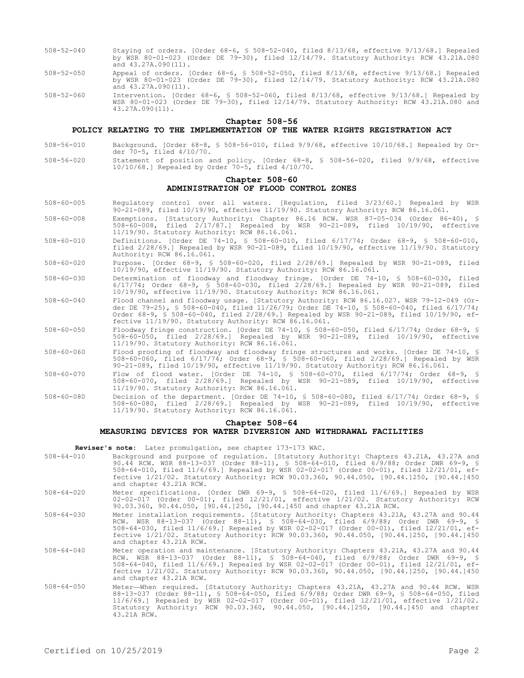- 508-52-040 Staying of orders. [Order 68-6, § 508-52-040, filed 8/13/68, effective 9/13/68.] Repealed by WSR 80-01-023 (Order DE 79-30), filed 12/14/79. Statutory Authority: RCW 43.21A.080 and 43.27A.090(11).
- 508-52-050 Appeal of orders. [Order 68-6, § 508-52-050, filed 8/13/68, effective 9/13/68.] Repealed by WSR 80-01-023 (Order DE 79-30), filed 12/14/79. Statutory Authority: RCW 43.21A.080 and 43.27A.090(11).
- 508-52-060 Intervention. [Order 68-6, § 508-52-060, filed 8/13/68, effective 9/13/68.] Repealed by WSR 80-01-023 (Order DE 79-30), filed 12/14/79. Statutory Authority: RCW 43.21A.080 and 43.27A.090(11).

#### **Chapter 508-56**

### **POLICY RELATING TO THE IMPLEMENTATION OF THE WATER RIGHTS REGISTRATION ACT**

- 508-56-010 Background. [Order 68-8, § 508-56-010, filed 9/9/68, effective 10/10/68.] Repealed by Order 70-5, filed 4/10/70.
- 508-56-020 Statement of position and policy. [Order 68-8, § 508-56-020, filed 9/9/68, effective 10/10/68.] Repealed by Order 70-5, filed 4/10/70.

### **Chapter 508-60 ADMINISTRATION OF FLOOD CONTROL ZONES**

- 508-60-005 Regulatory control over all waters. [Regulation, filed 3/23/60.] Repealed by WSR 90-21-089, filed 10/19/90, effective 11/19/90. Statutory Authority: RCW 86.16.061.
- 508-60-008 Exemptions. [Statutory Authority: Chapter 86.16 RCW. WSR 87-05-034 (Order 86-40), § 508-60-008, filed 2/17/87.] Repealed by WSR 90-21-089, filed 10/19/90, effective 11/19/90. Statutory Authority: RCW 86.16.061.
- 508-60-010 Definitions. [Order DE 74-10, § 508-60-010, filed 6/17/74; Order 68-9, § 508-60-010, filed 2/28/69.] Repealed by WSR 90-21-089, filed 10/19/90, effective 11/19/90. Statutory Authority: RCW 86.16.061.
- 508-60-020 Purpose. [Order 68-9, § 508-60-020, filed 2/28/69.] Repealed by WSR 90-21-089, filed 10/19/90, effective 11/19/90. Statutory Authority: RCW 86.16.061.
- 508-60-030 Determination of floodway and floodway fringe. [Order DE 74-10, § 508-60-030, filed 6/17/74; Order 68-9, § 508-60-030, filed 2/28/69.] Repealed by WSR 90-21-089, filed 10/19/90, effective 11/19/90. Statutory Authority: RCW 86.16.061.
- 508-60-040 Flood channel and floodway usage. [Statutory Authority: RCW 86.16.027. WSR 79-12-049 (Order DE 79-25), § 508-60-040, filed 11/26/79; Order DE 74-10, § 508-60-040, filed 6/17/74; Order 68-9, § 508-60-040, filed 2/28/69.] Repealed by WSR 90-21-089, filed 10/19/90, effective 11/19/90. Statutory Authority: RCW 86.16.061.
- 508-60-050 Floodway fringe construction. [Order DE 74-10, § 508-60-050, filed 6/17/74; Order 68-9, § 508-60-050, filed 2/28/69.] Repealed by WSR 90-21-089, filed 10/19/90, effective 11/19/90. Statutory Authority: RCW 86.16.061.
- 508-60-060 Flood proofing of floodway and floodway fringe structures and works. [Order DE 74-10, § 508-60-060, filed 6/17/74; Order 68-9, § 508-60-060, filed 2/28/69.] Repealed by WSR 90-21-089, filed 10/19/90, effective 11/19/90. Statutory Authority: RCW 86.16.061.
- 508-60-070 Flow of flood water. [Order DE 74-10, § 508-60-070, filed 6/17/74; Order 68-9, § 508-60-070, filed 2/28/69.] Repealed by WSR 90-21-089, filed 10/19/90, effective 11/19/90. Statutory Authority: RCW 86.16.061.
- 508-60-080 Decision of the department. [Order DE 74-10, § 508-60-080, filed 6/17/74; Order 68-9, § 508-60-080, filed 2/28/69.] Repealed by WSR 90-21-089, filed 10/19/90, effective 11/19/90. Statutory Authority: RCW 86.16.061.

# **Chapter 508-64**

### **MEASURING DEVICES FOR WATER DIVERSION AND WITHDRAWAL FACILITIES**

**Reviser's note:** Later promulgation, see chapter 173-173 WAC.

- 508-64-010 Background and purpose of regulation. [Statutory Authority: Chapters 43.21A, 43.27A and 90.44 RCW. WSR 88-13-037 (Order 88-11), § 508-64-010, filed 6/9/88; Order DWR 69-9, § 508-64-010, filed 11/6/69.] Repealed by WSR 02-02-017 (Order 00-01), filed 12/21/01, effective 1/21/02. Statutory Authority: RCW 90.03.360, 90.44.050, [90.44.]250, [90.44.]450 and chapter 43.21A RCW.
- 508-64-020 Meter specifications. [Order DWR 69-9, § 508-64-020, filed 11/6/69.] Repealed by WSR 02-02-017 (Order 00-01), filed 12/21/01, effective 1/21/02. Statutory Authority: RCW 90.03.360, 90.44.050, [90.44.]250, [90.44.]450 and chapter 43.21A RCW.
- 508-64-030 Meter installation requirements. [Statutory Authority: Chapters 43.21A, 43.27A and 90.44 RCW. WSR 88-13-037 (Order 88-11), § 508-64-030, filed 6/9/88; Order DWR 69-9, § 508-64-030, filed 11/6/69.] Repealed by WSR 02-02-017 (Order 00-01), filed 12/21/01, effective 1/21/02. Statutory Authority: RCW 90.03.360, 90.44.050, [90.44.]250, [90.44.]450 and chapter 43.21A RCW.
- 508-64-040 Meter operation and maintenance. [Statutory Authority: Chapters 43.21A, 43.27A and 90.44 RCW. WSR 88-13-037 (Order 88-11), § 508-64-040, filed 6/9/88; Order DWR 69-9, § 508-64-040, filed 11/6/69.] Repealed by WSR 02-02-017 (Order 00-01), filed 12/21/01, effective 1/21/02. Statutory Authority: RCW 90.03.360, 90.44.050, [90.44.]250, [90.44.]450 and chapter 43.21A RCW.
- 508-64-050 Meter—When required. [Statutory Authority: Chapters 43.21A, 43.27A and 90.44 RCW. WSR 88-13-037 (Order 88-11), § 508-64-050, filed 6/9/88; Order DWR 69-9, § 508-64-050, filed 11/6/69.] Repealed by WSR 02-02-017 (Order 00-01), filed 12/21/01, effective 1/21/02. Statutory Authority: RCW 90.03.360, 90.44.050, [90.44.]250, [90.44.]450 and chapter 43.21A RCW.